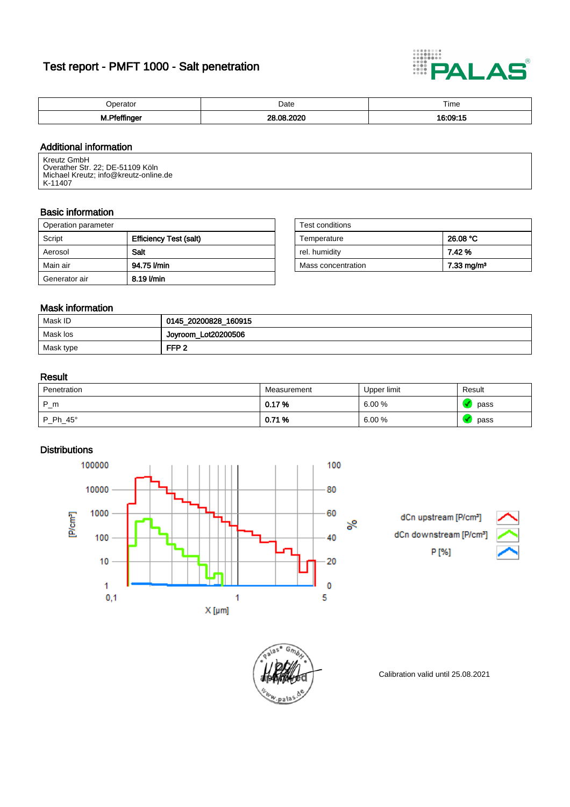# Test report - PMFT 1000 - Salt penetration



| $-$                                                                                          | Date | Time      |
|----------------------------------------------------------------------------------------------|------|-----------|
| м.<br>the contract of the contract of the contract of the contract of the contract of<br>. . | იი   | .<br>0.00 |

## Additional information

Kreutz GmbH Overather Str. 22; DE-51109 Köln Michael Kreutz; info@kreutz-online.de K-11407

#### Basic information

| Operation parameter |                               | Test conditions    |                        |
|---------------------|-------------------------------|--------------------|------------------------|
| Script              | <b>Efficiency Test (salt)</b> | Temperature        | 26.08 °C               |
| Aerosol             | <b>Salt</b>                   | rel. humiditv      | 7.42%                  |
| Main air            | 94.75 l/min                   | Mass concentration | 7.33 mg/m <sup>3</sup> |
| Generator air       | 8.19 l/min                    |                    |                        |

| Test conditions    |                       |
|--------------------|-----------------------|
| Temperature        | 26.08 °C              |
| rel. humidity      | 7.42 %                |
| Mass concentration | $7.33 \text{ mg/m}^3$ |

## Mask information

| Mask ID   | 0145_20200828_160915 |
|-----------|----------------------|
| Mask los  | Joyroom_Lot20200506  |
| Mask type | FFP <sub>2</sub>     |

#### Result

| Penetration     | Measurement | Upper limit | Result |
|-----------------|-------------|-------------|--------|
| P_m             | 0.17%       | 6.00%       | pass   |
| $P_Ph_45^\circ$ | 0.71%       | 6.00%       | pass   |

## **Distributions**

100000 100 10000 80 [P/cm<sup>3</sup>] 1000 60 వ్ 100 40 10 20 1 0  $0,1$ 5 1  $X$  [µm]

dCn upstream [P/cm<sup>3</sup>] dCn downstream [P/cm P [%]





Calibration valid until 25.08.2021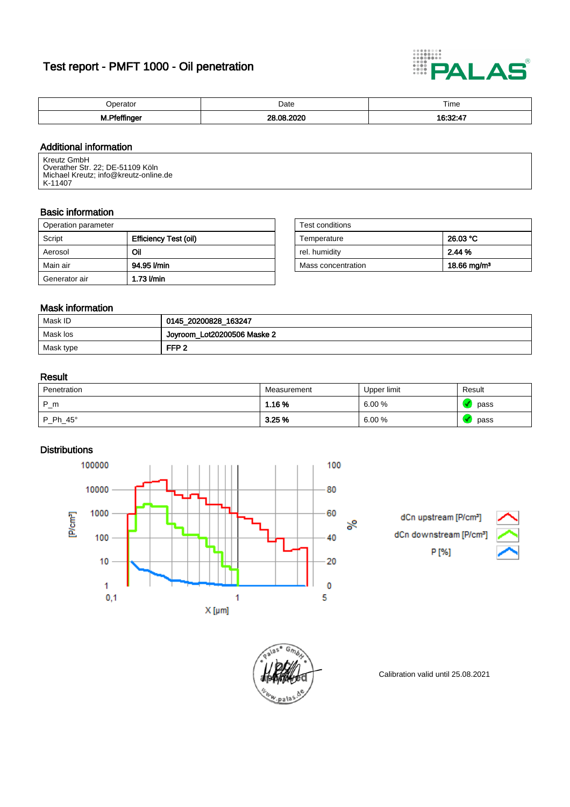# Test report - PMFT 1000 - Oil penetration



| $\cdot$ in $e^{i\pi}$<br>. | Date | Time                                                                            |
|----------------------------|------|---------------------------------------------------------------------------------|
|                            | nc   |                                                                                 |
| M.Pfeffir                  |      | the contract of the contract of the contract of the contract of the contract of |

## Additional information

Kreutz GmbH Overather Str. 22; DE-51109 Köln Michael Kreutz; info@kreutz-online.de K-11407

#### Basic information

| Operation parameter |                       | Test conditions    |                         |
|---------------------|-----------------------|--------------------|-------------------------|
| Script              | Efficiency Test (oil) | Temperature        | 26.03 °C                |
| Aerosol             | Oil                   | rel, humidity      | 2.44 %                  |
| Main air            | 94.95 l/min           | Mass concentration | 18.66 mg/m <sup>3</sup> |
| Generator air       | $1.73$ $Vmin$         |                    |                         |

| Test conditions    |                         |
|--------------------|-------------------------|
| Temperature        | 26.03 °C                |
| rel. humidity      | 2.44%                   |
| Mass concentration | 18.66 mg/m <sup>3</sup> |

## Mask information

| Mask ID   | 0145_20200828_163247          |
|-----------|-------------------------------|
| Mask los  | ' Joyroom_Lot20200506 Maske 2 |
| Mask type | FFP <sub>2</sub>              |

### Result

| Penetration     | Measurement | Upper limit | Result |
|-----------------|-------------|-------------|--------|
| $P_{m}$         | 1.16 %      | 6.00%       | pass   |
| $P_Ph_45^\circ$ | $3.25\,\%$  | 6.00%       | pass   |

## **Distributions**

100000 100 10000 80 [P/cm<sup>3</sup>] 1000 60 వ్ 100 40 10 20 1 0  $0,1$ 5 1  $X$  [µm]

dCn upstream [P/cm<sup>3</sup>] dCn downstream [P/cm P [%]





Calibration valid until 25.08.2021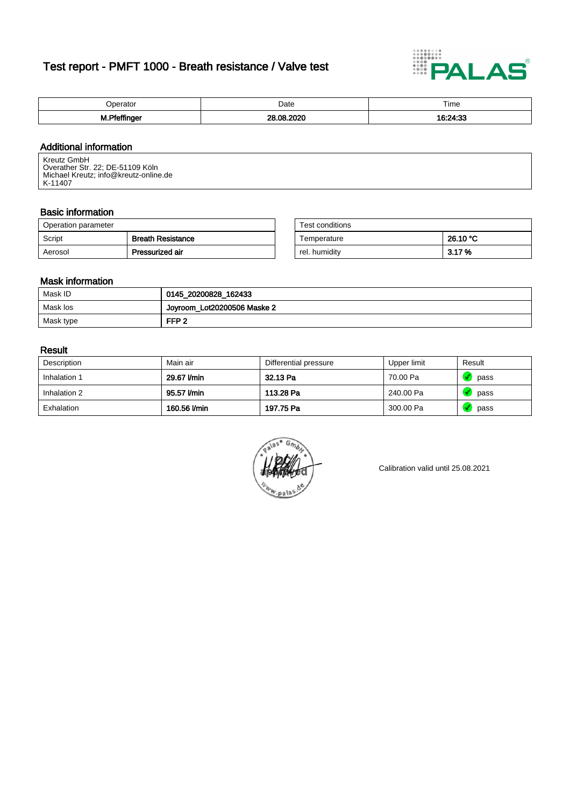# Test report - PMFT 1000 - Breath resistance / Valve test



| Iners<br>. | Date   | Time                 |
|------------|--------|----------------------|
| м.         | <br>იი | つん・つつ<br>$\sim$<br>ー |

## Additional information

Kreutz GmbH Overather Str. 22; DE-51109 Köln Michael Kreutz; info@kreutz-online.de K-11407

## Basic information

| Operation parameter |                          | Test conditions |          |
|---------------------|--------------------------|-----------------|----------|
| Script              | <b>Breath Resistance</b> | Temperature     | 26.10 °C |
| Aerosol             | Pressurized air          | rel. humiditv   | 3.17%    |

| Test conditions |          |
|-----------------|----------|
| Temperature     | 26.10 °C |
| rel. humidity   | 3.17%    |

### Mask information

| Mask ID   | 0145_20200828_162433        |
|-----------|-----------------------------|
| Mask los  | Joyroom_Lot20200506 Maske 2 |
| Mask type | FFP <sub>2</sub>            |

#### Result

| Description  | Main air     | Differential pressure | Upper limit | Result |
|--------------|--------------|-----------------------|-------------|--------|
| Inhalation 1 | 29.67 l/min  | 32.13 Pa              | 70.00 Pa    | pass   |
| Inhalation 2 | 95.57 l/min  | 113.28 Pa             | 240.00 Pa   | pass   |
| Exhalation   | 160.56 l/min | 197.75 Pa             | 300.00 Pa   | pass   |



Calibration valid until 25.08.2021